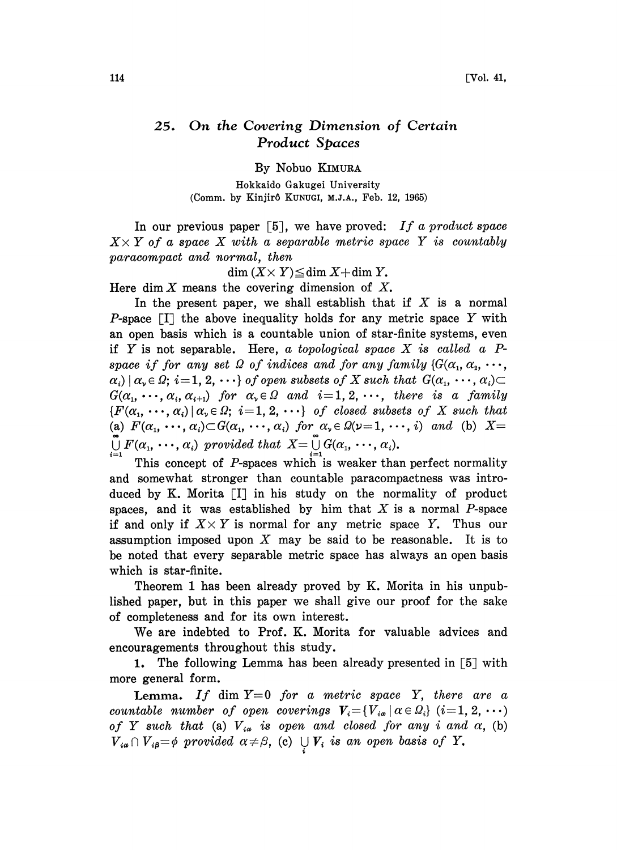## On the Covering Dimension of Certain  $25.$ **Product Spaces**

By Nobuo KIMURA

Hokkaido Gakugei University (Comm. by Kinjirô KUNUGI, M.J.A., Feb. 12, 1965)

In our previous paper  $[5]$ , we have proved: If a product space  $X \times Y$  of a space X with a separable metric space Y is countably paracompact and normal, then

 $\dim (X \times Y) \leq \dim X + \dim Y$ .

Here dim  $X$  means the covering dimension of  $X$ .

In the present paper, we shall establish that if  $X$  is a normal P-space  $\Box$  the above inequality holds for any metric space Y with an open basis which is a countable union of star-finite systems, even if Y is not separable. Here, a topological space  $X$  is called a  $P$ space if for any set  $\Omega$  of indices and for any family { $G(\alpha_1, \alpha_2, \cdots, \alpha_n)$  $\alpha_i | \alpha_i \in \Omega; i=1,2,\cdots$  of open subsets of X such that  $G(\alpha_1, \cdots, \alpha_i)$  $G(\alpha_1, \cdots, \alpha_i, \alpha_{i+1})$  for  $\alpha_i \in \Omega$  and  $i=1, 2, \cdots$ , there is a family  $\{F(\alpha_1, \dots, \alpha_i) | \alpha_i \in \Omega; i=1, 2, \dots\}$  of closed subsets of X such that (a)  $F(\alpha_1, \dots, \alpha_i) \subset G(\alpha_1, \dots, \alpha_i)$  for  $\alpha_i \in \Omega(\nu=1, \dots, i)$  and (b)  $X =$  $\bigcup_{i=1}^{\infty} F(\alpha_1, \dots, \alpha_i)$  provided that  $X = \bigcup_{i=1}^{\infty} G(\alpha_1, \dots, \alpha_i)$ .<br>This concept of *P*-spaces which is weaker than perfect normality

and somewhat stronger than countable paracompactness was introduced by K. Morita  $[I]$  in his study on the normality of product spaces, and it was established by him that  $X$  is a normal  $P$ -space if and only if  $X \times Y$  is normal for any metric space Y. Thus our assumption imposed upon  $X$  may be said to be reasonable. It is to be noted that every separable metric space has always an open basis which is star-finite.

Theorem 1 has been already proved by K. Morita in his unpublished paper, but in this paper we shall give our proof for the sake of completeness and for its own interest.

We are indebted to Prof. K. Morita for valuable advices and encouragements throughout this study.

1. The following Lemma has been already presented in  $\lceil 5 \rceil$  with more general form.

**Lemma.** If dim  $Y=0$  for a metric space Y, there are a countable number of open coverings  $V_i = \{V_{i\alpha} | \alpha \in \Omega_i\}$   $(i=1, 2, \cdots)$ of Y such that (a)  $V_{ia}$  is open and closed for any i and  $\alpha$ , (b)  $V_{i\alpha} \cap V_{i\beta} = \phi$  provided  $\alpha \neq \beta$ , (c)  $\bigcup V_i$  is an open basis of Y.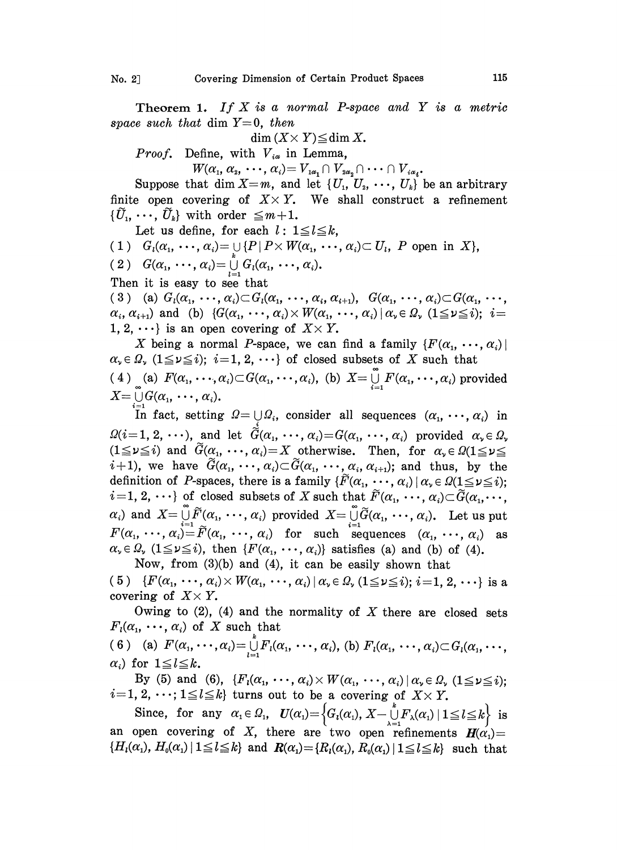Theorem 1. If  $X$  is a normal P-space and  $Y$  is a metric space such that dim  $Y=0$ , then

 $\dim (X \times Y) \leq \dim X$ .

*Proof.* Define, with  $V_{ia}$  in Lemma,

 $W(\alpha_1, \alpha_2, \cdots, \alpha_i) = V_{1\alpha_1} \cap V_{2\alpha_2} \cap \cdots \cap V_{i\alpha_i}.$ 

Suppose that dim  $X=m$ , and let  $\{U_1, U_2, \dots, U_k\}$  be an arbitrary finite open covering of  $X \times Y$ . We shall construct a refinement  $\{\tilde{U}_1, \cdots, \tilde{U}_k\}$  with order  $\leq m+1$ .

Let us define, for each  $l: 1 \leq l \leq k$ ,

- 1)  $G_i(\alpha_1, \dots, \alpha_i) = \bigcup_k \{P \mid P \times W(\alpha_1, \dots, \alpha_i) \subset U_i, P \text{ open in } X\},$
- ( 2 )  $G(\alpha_1, \cdots, \alpha_i) = \bigcup_{l=1}^k G_l(\alpha_1, \cdots, \alpha_i).$
- Then it is easy to see that

(3) (a)  $G_i(\alpha_1, \ldots, \alpha_i) \subset G_i(\alpha_1, \ldots, \alpha_i, \alpha_{i+1}), \; G(\alpha_1, \ldots, \alpha_i) \subset G(\alpha_1, \ldots, \alpha_i)$  $\alpha_i, \alpha_{i+1}$  and (b)  $\{G(\alpha_1, \cdots, \alpha_i) \times W(\alpha_1, \cdots, \alpha_i) \mid \alpha_i \in \Omega, \ (1 \leq i \leq i); \ i =$ 1, 2,  $\cdots$ } is an open covering of  $X \times Y$ .

X being a normal P-space, we can find a family  $\{F(\alpha_1, \dots, \alpha_i)\}\$  $\alpha_i \in \Omega$ ,  $(1 \leq i \leq i); i=1, 2, \cdots$  of closed subsets of X such that  $4)$  (a)  $F(\alpha_1, \cdots, \alpha_i) \subset G(\alpha_1, \cdots, \alpha_i)$ , (b)  $X = \bigcup_{i=1}^{\infty} F(\alpha_1, \cdots, \alpha_i)$  provided  $X = \bigcup G(\alpha_1, \cdots, \alpha_i).$ 

In fact, setting  $\Omega = \bigcup \Omega_i$ , consider all sequences  $(\alpha_1, \dots, \alpha_i)$  in  $\Omega(i=1, 2, \cdots)$ , and let  $\tilde{G}(\alpha_1, \cdots, \alpha_i)=G(\alpha_1, \cdots, \alpha_i)$  provided  $\alpha_i \in \Omega_i$  $(1 \le \nu \le i)$  and  $\widetilde{G}(\alpha_1, \dots, \alpha_i) = X$  otherwise. Then, for  $\alpha_{\nu} \in \Omega(1 \le \nu \le i)$  $i+1$ , we have  $\widetilde{G}(\alpha_1, \dots, \alpha_i) \subset \widetilde{G}(\alpha_1, \dots, \alpha_i, \alpha_{i+1})$ ; and thus, by the definition of P-spaces, there is a family  $\{\widetilde{F}(\alpha_1, \dots, \alpha_i) | \alpha_i \in \Omega(1 \leq \nu \leq i)\}$ ;  $i=1, 2, \cdots$  of closed subsets of X such that  $\widetilde{F}(\alpha_1, \cdots, \alpha_i) \subset \widetilde{G}(\alpha_1, \cdots, \alpha_i)$  $\alpha_i$ ) and  $X = \bigcup_{i=1}^{\infty} \widetilde{F}(\alpha_1, \dots, \alpha_i)$  provided  $X = \bigcup_{i=1}^{\infty} \widetilde{G}(\alpha_1, \dots, \alpha_i)$ . Let us put  $F(\alpha_1, \dots, \alpha_i) = \widetilde{F}(\alpha_1, \dots, \alpha_i)$  for such sequences  $(\alpha_1, \dots, \alpha_i)$  as  $\alpha_i \in \Omega$ ,  $(1 \le \nu \le i)$ , then  $\{F(\alpha_1, \dots, \alpha_i)\}$  satisfies (a) and (b) of (4). Now, from (3)(b) and (4), it can be easily shown that

(5)  $\{F(\alpha_1, \dots, \alpha_i) \times W(\alpha_1, \dots, \alpha_i) \mid \alpha_i \in \Omega, (1 \leq \nu \leq i); i=1, 2, \dots \}$  is a covering of  $X \times Y$ .

Owing to  $(2)$ ,  $(4)$  and the normality of X there are closed sets  $F_i(\alpha_1, \dots, \alpha_i)$  of X such that

6) (a)  $F(\alpha_1, \dots, \alpha_i) = \bigcup_{l=1}^k F_l(\alpha_1, \dots, \alpha_i)$ , (b)  $F_l(\alpha_1, \dots, \alpha_i) \subset G_l(\alpha_1, \dots, \alpha_i)$  $\alpha_i$ ) for  $1 \leq l \leq k$ .

By (5) and (6),  $\{F_i(\alpha_1, \dots, \alpha_i) \times W(\alpha_1, \dots, \alpha_i) | \alpha_i \in \Omega, (1 \leq \nu \leq i)\}\)$ By (5) and (6),  $\{F_i(\alpha_1, \dots, \alpha_i) \times W(\alpha_1, \dots, \alpha_i) | \alpha_i \in \Omega, i=1, 2, \dots; 1 \leq l \leq k\}$  turns out to be a covering of  $X \times Y$ .

Since, for any  $\alpha_1 \in \Omega_1$ ,  $U(\alpha_1) = \left\{ G_i(\alpha_1), X - \bigcup_{i=1}^n F_{\lambda}(\alpha_1) \mid 1 \leq l \leq k \right\}$  is an open covering of X, there are two open refinements  $H(\alpha)$  =  ${H_i(\alpha_1), H_0(\alpha_1) \mid 1 \leq l \leq k}$  and  $R(\alpha_1) = {R_i(\alpha_1), R_0(\alpha_1) \mid 1 \leq l \leq k}$  such that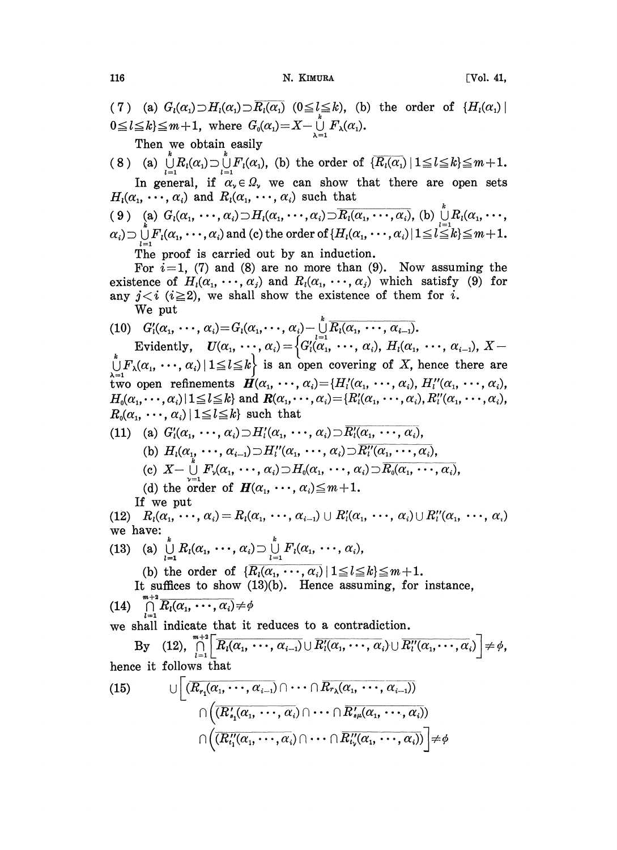116 **N. KIMURA** [Vol. 41,

(7) (a)  $G_i(\alpha_1) \supset H_i(\alpha_1) \supset \overline{R_i(\alpha_1)}$  ( $0 \leq l \leq k$ ), (b) the order of  $\{H_i(\alpha_1)\}\$  $0 \leq l \leq k$ } $\leq m+1$ , where  $G_0(\alpha_1)=X-\bigcup_{\lambda=1}^{\ell}F_{\lambda}(\alpha_1).$ Then we obtain easily 8) (a)  $\bigcup_{l=1}^{k} R_{l}(\alpha_{1}) \supset \bigcup_{l=1}^{k} F_{l}(\alpha_{1})$ , (b) the order of  $\{\overline{R_{l}(\alpha_{1})} | 1 \leq l \leq k\} \leq m+1$ .<br>In general, if  $\alpha_{\nu} \in \Omega_{\nu}$  we can show that there are open sets In general, if  $\alpha_v \in \Omega_v$ , we can show that there are open sets  $H_i(\alpha_1, \dots, \alpha_i)$  and  $R_i(\alpha_1, \dots, \alpha_i)$  such that ( 9 ) (a)  $G_l(\alpha_1, \dots, \alpha_i) \supset H_l(\alpha_1, \dots, \alpha_i) \supset \overline{R_l(\alpha_1, \dots, \alpha_i)}$ , (b)  $\bigcup_{l=1}^k R_l(\alpha_1, \dots, \alpha_l)$  $\alpha_i$ )  $\sup_{l=1}^{\infty} F_l(\alpha_1, \dots, \alpha_i)$  and (c) the order of  $\{H_l(\alpha_1, \dots, \alpha_i) | 1 \leq l \leq k\} \leq m+1$ . The proof is carried out by an induction. For  $i=1$ , (7) and (8) are no more than (9). Now assuming the existence of  $H_1(\alpha_1, \dots, \alpha_j)$  and  $R_1(\alpha_1, \dots, \alpha_j)$  which satisfy (9) for any  $j \lt i$  ( $i \geq 2$ ), we shall show the existence of them for i. We put (10)  $G'_{i}(\alpha_1, \cdots, \alpha_i) = G_{i}(\alpha_1, \cdots, \alpha_i) - \bigcup_{i=1}^{k} \overline{R_i(\alpha_1, \cdots, \alpha_{i-1})}.$ Evidently,  $U(\alpha_1, \dots, \alpha_i) = \begin{cases} G'_l(\alpha_1, \dots, \alpha_i), H_l(\alpha_1, \dots, \alpha_{i-1}), X - \end{cases}$ Evidently,  $U(\alpha_1, \dots, \alpha_i) = \{G_i(\alpha_1, \dots, \alpha_i), H_i(\alpha_1, \dots, \alpha_{i-1}), X - F_{\lambda}(\alpha_1, \dots, \alpha_i) | 1 \leq l \leq k \}$  is an open covering of X, hence there are two open refinements  $\mathbf{H}(\alpha_1, \cdots, \alpha_i) = \{H'_i(\alpha_1, \cdots, \alpha_i), H''_i(\alpha_1, \cdots, \alpha_i),\}$  $H_0(\alpha_1, \dots, \alpha_i)$   $1 \leq l \leq k$  and  $R(\alpha_1, \dots, \alpha_i) = {R'_i(\alpha_1, \dots, \alpha_i), R''_i(\alpha_1, \dots, \alpha_i)}$  $R_0(\alpha_1, \cdots, \alpha_i) | 1 \leq l \leq k$  such that (11) (a)  $G'_{i}(\alpha_{1}, \cdots, \alpha_{i}) \supset H'_{i}(\alpha_{1}, \cdots, \alpha_{i}) \supset \overline{R'_{i}(\alpha_{1}, \cdots, \alpha_{i})}$ (b)  $H_i(\alpha_1, \dots, \alpha_{i-1}) \supset H_i'(\alpha_1, \dots, \alpha_i) \supset \overline{R_i'(\alpha_1, \dots, \alpha_i)},$ <br>
(c)  $X - \bigcup_{k=1}^n F_{\nu}(\alpha_1, \dots, \alpha_i) \supset H_0(\alpha_1, \dots, \alpha_i) \supset \overline{R_0(\alpha_1, \dots, \alpha_i)},$ (d) the order of  $H(\alpha_1, \dots, \alpha_i) \leq m+1$ . If we put (12)  $R_i(\alpha_1, \cdots, \alpha_i) = R_i(\alpha_1, \cdots, \alpha_{i-1}) \cup R'_i(\alpha_1, \cdots, \alpha_i) \cup R''_i(\alpha_1, \cdots, \alpha_i)$ we have: (13) (a)  $\bigcup_{l=1}^k R_l(\alpha_1, \dots, \alpha_i) \supset \bigcup_{l=1}^k F_l(\alpha_1, \dots, \alpha_i),$ (b) the order of  $\{\overline{R_i(\alpha_1, \cdots, \alpha_i)} | 1 \leq l \leq k\} \leq m+1.$ It suffices to show (13)(b). Hence assuming, for instance, (14)  $\bigcap_{l=1}^{m+2} \overline{R_l(\alpha_1, \cdots, \alpha_i)} \neq \emptyset$ we shall indicate that it reduces to a contradiction.<br>By (12),  $\prod_{i=1}^{m+2} \overline{R_i(\alpha_1, \cdots, \alpha_{i-1})} \cup \overline{R'_i(\alpha_1, \cdots, \alpha_i)} \cup \overline{R''_i(\alpha_1, \cdots, \alpha_i)} \neq \phi$ , hence it follows that (15)  $\bigcup \left[ \overline{(R_{r_1}(\alpha_1, \cdots, \alpha_{i-1})} \cap \cdots \cap \overline{R_{r_{\lambda}}(\alpha_1, \cdots, \alpha_{i-1})}) \right]$  $\frac{1}{R(s_1(\alpha_1, \, \cdots, \, \alpha_i) \cap \cdots \cap R_s)}$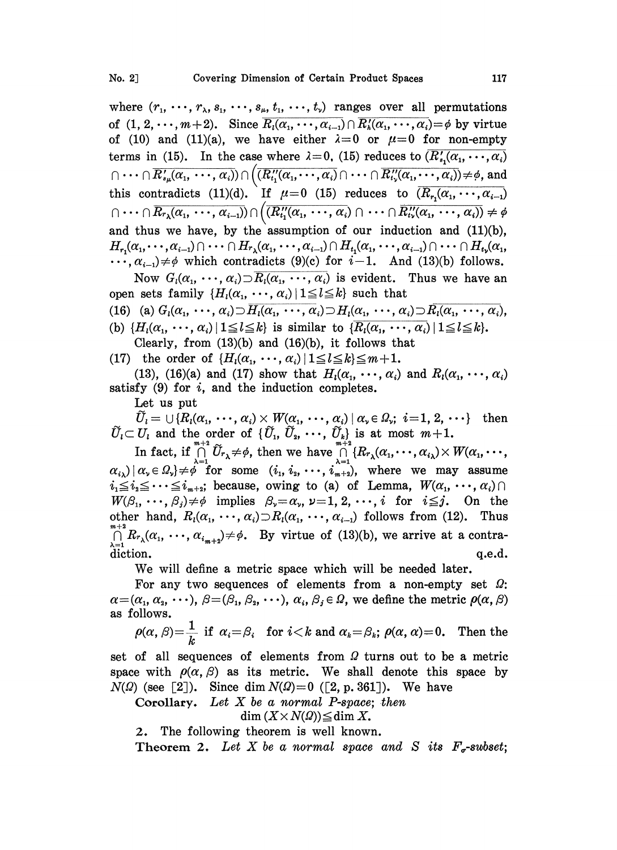where  $(r_1, \dots, r_\lambda, s_1, \dots, s_\mu, t_1, \dots, t_\nu)$  ranges over all permutations of  $(1, 2, \dots, m+2)$ . Since  $\overline{R_i(\alpha_1, \dots, \alpha_{i-1})} \cap \overline{R'_i(\alpha_1, \dots, \alpha_i)} = \emptyset$  by virtue of (10) and (11)(a), we have either  $\lambda=0$  or  $\mu=0$  for non-empty terms in (15). In the case where  $\lambda = 0$ , (15) reduces to  $(R'_{s_1}(\alpha_1, \dots, \alpha_i))$  $\lceil (n \cdots \lceil \overline{R'_{s_{\mu}}(\alpha_{1}, \cdots, \alpha_{i})}) \rceil \bigg( \overline{(R''_{t_{1}}(\alpha_{1}, \cdots, \alpha_{i})} \cap \cdots \cap \overline{R''_{t_{\nu}}(\alpha_{1}, \cdots, \alpha_{i})}) \neq \emptyset$ , and this contradicts (11)(d). If  $\mu=0$  (15) reduces to  $(\overline{R}_{r_1}(\alpha_1, \dots, \alpha_{i-1})$ <br>  $\cap \dots \cap \overline{R}_{r_{\lambda}}(\alpha_1, \dots, \alpha_{i-1})$ ) $\cap ((\overline{R''_{t_1}(\alpha_1, \dots, \alpha_i)} \cap \dots \cap \overline{R''_{t_n}(\alpha_1, \dots, \alpha_i)}) \neq \emptyset)$ and thus we have, by the assumption of our induction and  $(11)(b)$ ,  $H_{r_1}(\alpha_1,\cdots,\alpha_{i-1})\cap \cdots \cap H_{r_{\lambda}}(\alpha_1,\cdots,\alpha_{i-1})\cap H_{t_1}(\alpha_1,\cdots,\alpha_{i-1})\cap \cdots \cap H_{t_{\nu}}(\alpha_1,\cdots,\alpha_{i-1})$  $\ldots, \alpha_{i-1} \neq \emptyset$  which contradicts (9)(c) for  $i-1$ . And (13)(b) follows.

Now  $G_i(\alpha_1, \dots, \alpha_i) \supset R_i(\alpha_1, \dots, \alpha_i)$  is evident. Thus we have an open sets family  $\{H_i(\alpha_1, \cdots, \alpha_i) \mid 1 \leq l \leq k\}$  such that

(16) (a) 
$$
G_l(\alpha_1, \dots, \alpha_i) \supset \overline{H_l(\alpha_1, \dots, \alpha_i)} \supset H_l(\alpha_1, \dots, \alpha_i) \supset \overline{R_l(\alpha_1, \dots, \alpha_i)}
$$
,  
(b)  $\{H_l(\alpha_1, \dots, \alpha_i) | 1 \leq l \leq k\}$  is similar to  $\{\overline{R_l(\alpha_1, \dots, \alpha_i)} | 1 \leq l \leq k\}$ .

Clearly, from  $(13)(b)$  and  $(16)(b)$ , it follows that

(17) the order of  $\{H_i(\alpha_1, \cdots, \alpha_i) \mid 1 \leq l \leq k\} \leq m+1$ .

(13), (16)(a) and (17) show that  $H_1(\alpha_1, \dots, \alpha_i)$  and  $R_1(\alpha_1, \dots, \alpha_i)$ satisfy  $(9)$  for i, and the induction completes.

Let us put

 $\widetilde{U}_i=\cup\{R_l(\alpha_{1},\,\cdots,\,\alpha_{i})\times W(\alpha_{1},\,\cdots,\,\alpha_{i})\,|\,\alpha_{\sf v}\!\in \varOmega_{\sf v};\,\,i\!=\!1,\,2,\,\cdots\}\quad\text{then}$  $\widetilde{U}_l = \cup \{R_l(\alpha_1, \, \cdots, \, \alpha_i) \times W(\alpha_1, \, \cdots, \, \alpha_i) \mid \alpha_v \in \Omega_v; \,\, i=1, \, 2 \}, \ \widetilde{U}_l \subset U_l \,\,\,\text{and the order of} \,\,\, \{\widetilde{U}_1, \, \widetilde{U}_2, \, \cdots, \, \widetilde{U}_k\} \,\,\text{is at most}\,\, m + \text{In fact, if $\overset{m+2}{\cap} \widetilde{U}_l \, \neq \, \delta_1$ then we have $ \overset{m+2}{\cap} \Omega_R(\alpha_1, \ldots$ 

 $U_i \subset U_i$  and the order of  $\{U_1, U_2, \cdots, U_k\}$  is at most  $m+1$ .<br>
In fact, if  $\bigcap_{\lambda=1}^{m+2} \tilde{U}_{r_{\lambda}} \neq \phi$ , then we have  $\bigcap_{\lambda=1}^{m+2} \{R_{r_{\lambda}}(\alpha_1, \cdots, \alpha_{i_{\lambda}}) \times W(\alpha_1, \cdots, \alpha_{i_{\lambda}}) \}$ <br>  $\alpha_{i_{\lambda}} | \alpha_{\nu} \in \Omega_{\nu} \} \ne$  $i_1 \leq i_2 \leq \cdots \leq i_{m+2}$ ; because, owing to (a) of Lemma,  $W(\alpha_1, \cdots, \alpha_i) \cap$  $W(\beta_1, \cdots, \beta_j) \neq \emptyset$  implies  $\beta_{\nu} = \alpha_{\nu}$ ,  $\nu = 1, 2, \cdots, i$  for  $i \leq j$ . On the other hand,  $R_i(\alpha_1, \dots, \alpha_i) \supset R_i(\alpha_1, \dots, \alpha_{i-1})$  follows from (12). Thus  $\operatorname*{otk}_{m+2}$  $\bigcap_{\lambda=1}^{\infty} R_{r_{\lambda}}(\alpha_1, \cdots, \alpha_{i_{m+2}}) \neq \emptyset$ . By virtue of (13)(b), we arrive at a contradiction. **q.e.d.** q.e.d.

We will define <sup>a</sup> metric space which will be needed later.

For any two sequences of elements from a non-empty set  $\Omega$ :  $\alpha = (\alpha_1, \alpha_2, \cdots), \ \beta = (\beta_1, \beta_2, \cdots), \ \alpha_i, \beta_j \in \Omega$ , we define the metric  $\rho(\alpha, \beta)$  $\beta = (\beta_1, \beta_2, \dots), \alpha_i, \beta_j \in \Omega$ , we define the metric  $\rho(\alpha, \beta) = (\beta_1, \beta_2, \dots), \alpha_i, \beta_j \in \Omega$ , we define the metric  $\rho(\alpha, \beta)$ <br>if  $\alpha_i = \beta_i$  for  $i < k$  and  $\alpha_k = \beta_k$ ;  $\rho(\alpha, \alpha) = 0$ . Then to as follows.

 $\frac{1}{2}$  if

 $\rho(\alpha, \beta) = \frac{1}{k}$  if  $\alpha_i = \beta_i$  for  $i < k$  and  $\alpha_k = \beta_k$ ;  $\rho(\alpha, \alpha) = 0$ . Then the<br>of all sequences of elements from  $\Omega$  turns out to be a metric<br>e with  $\rho(\alpha, \beta)$  as its metric. We shall denote this space by<br>a (see [2]). set of all sequences of elements from  $\Omega$  turns out to be a metric space with  $\rho(\alpha, \beta)$  as its metric. We shall denote this space by  $N(\Omega)$  (see [2]). Since dim  $N(\Omega) = 0$  ([2, p. 361]). We have of all sequences of elements from  $\Omega$  turns of evith  $\rho(\alpha, \beta)$  as its metric. We shall dence (2). Since dim  $N(\Omega) = 0$  ([2, p. 361]). Norollary. Let X be a normal P-space; then dim  $(X \times N(\Omega)) \leq \dim X$ .

$$
\dim (X \times N(\Omega)) \leq \dim X.
$$

2. The following theorem is well known.

Theorem 2. Let X be a normal space and S its  $F_{\sigma}$ -subset;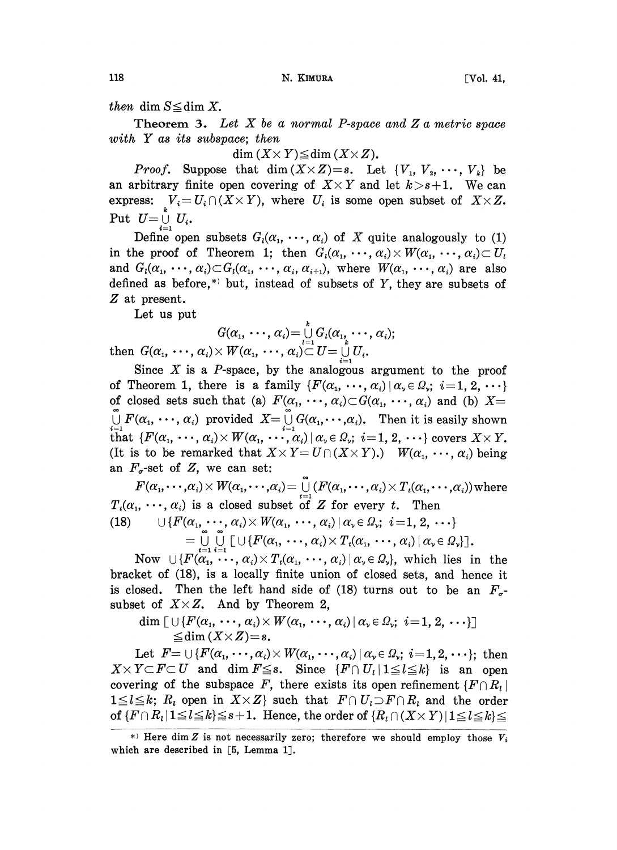then dim  $S \leq \dim X$ .

**Theorem 3.** Let  $X$  be a normal P-space and  $Z$  a metric space with Y as its subspace; then

 $\dim (X \times Y) \leq \dim (X \times Z)$ .

*Proof.* Suppose that dim  $(X \times Z)=s$ . Let  $\{V_1, V_2, \cdots, V_k\}$  be an arbitrary finite open covering of  $X \times Y$  and let  $k > s+1$ . We can express:  $V_i = U_i \cap (X \times Y)$ , where  $U_i$  is some open subset of  $X \times Z$ . Put  $U=\bigcup_{i=1}^{\kappa} U_i$ .

Define open subsets  $G_i(\alpha_1, \dots, \alpha_i)$  of X quite analogously to (1) in the proof of Theorem 1; then  $G_i(\alpha_1, \dots, \alpha_i) \times W(\alpha_1, \dots, \alpha_i) \subset U_i$ and  $G_i(\alpha_1, \dots, \alpha_i) \subset G_i(\alpha_1, \dots, \alpha_i, \alpha_{i+1}),$  where  $W(\alpha_1, \dots, \alpha_i)$  are also defined as before,<sup>\*</sup> but, instead of subsets of  $Y$ , they are subsets of Z at present.

Let us put

$$
G(\alpha_1, \cdots, \alpha_i) = \bigcup_{l=1}^k G_l(\alpha_1, \cdots, \alpha_i);
$$

then  $G(\alpha_{1},\,\cdots,\,\alpha_{i})\!\times W(\alpha_{1},\,\cdots,\,\alpha_{i})\!\!\subset\! \stackrel{l=1}{U} = \mathop{\cup}\limits_{i=1}^{k}U_{i}.$ 

Since  $X$  is a  $P$ -space, by the analogous argument to the proof of Theorem 1, there is a family  $\{F(\alpha_1, \dots, \alpha_i) \mid \alpha_i \in \Omega_i; i=1, 2, \dots\}$ of closed sets such that (a)  $F(\alpha_1, \dots, \alpha_i) \subset G(\alpha_1, \dots, \alpha_i)$  and (b)  $X=$  $\bigcup_{i=1}^{\infty} F(\alpha_1, \dots, \alpha_i)$  provided  $X = \bigcup_{i=1}^{\infty} G(\alpha_1, \dots, \alpha_i)$ . Then it is easily shown that  $\{F(\alpha_1, \dots, \alpha_i) \times W(\alpha_1, \dots, \alpha_i) | \alpha_i \in \Omega_i; i=1, 2, \dots\}$  covers  $X \times Y$ . (It is to be remarked that  $X \times Y = U \cap (X \times Y)$ .)  $W(\alpha_1, \dots, \alpha_i)$  being an  $F_{\sigma}$ -set of Z, we can set:

 $F(\alpha_1,\cdots,\alpha_i)\times W(\alpha_1,\cdots,\alpha_i)=\bigcup_{i=1}^{\infty}(F(\alpha_1,\cdots,\alpha_i)\times T_i(\alpha_1,\cdots,\alpha_i))$  where  $T_t(\alpha_1, \dots, \alpha_i)$  is a closed subset of Z for every t. Then (18)  $\qquad \qquad \cup \{F(\alpha_1, \cdots, \alpha_i) \times W(\alpha_1, \cdots, \alpha_i) \, | \, \alpha_i \in \Omega_i; \ i = 1, 2, \cdots \}$  $= \bigcup_{t=1} \bigcup_{i=1} \bigcup_{i=1} \big[ \cup \{F(\alpha_1, \ldots, \alpha_i) \times T_t(\alpha_1, \ldots, \alpha_i) | \alpha \in \Omega_\nu\} \big]$ .<br>Now  $\bigcup \{F(\alpha_1, \ldots, \alpha_i) \times T_t(\alpha_1, \ldots, \alpha_i) | \alpha \in \Omega_\nu\}$ , which lies in the

bracket of (18), is a locally finite union of closed sets, and hence it is closed. Then the left hand side of (18) turns out to be an  $F_{\sigma}$ -subset of  $X \times Z$ . And by Theorem 2,

$$
\dim \big[\cup \{F(\alpha_1, \cdots, \alpha_i) \times W(\alpha_1, \cdots, \alpha_i) \mid \alpha_i \in \Omega_i; i=1, 2, \cdots \}\big] \newline \leq \dim (X \times Z) = s.
$$

Let  $F = \bigcup \{F(\alpha_1, \dots, \alpha_i) \times W(\alpha_1, \dots, \alpha_i) \mid \alpha_i \in \Omega_i; i=1, 2, \dots \}$ ; then  $X \times Y \subset F \subset U$  and dim  $F \leq s$ . Since  $\{F \cap U_{l} | 1 \leq l \leq k\}$  is an open covering of the subspace F, there exists its open refinement  $\{F \cap R_i\}$  $1 \leq l \leq k$ ;  $R_i$  open in  $X \times Z$  such that  $F \cap U_i \supset F \cap R_i$  and the order of  $\{F \cap R_i | 1 \leq l \leq k\} \leq s+1$ . Hence, the order of  $\{R_i \cap (X \times Y) | 1 \leq l \leq k\}$ 

<sup>\*)</sup> Here dim Z is not necessarily zero; therefore we should employ those  $V_i$ which are described in [5, Lemma 1].